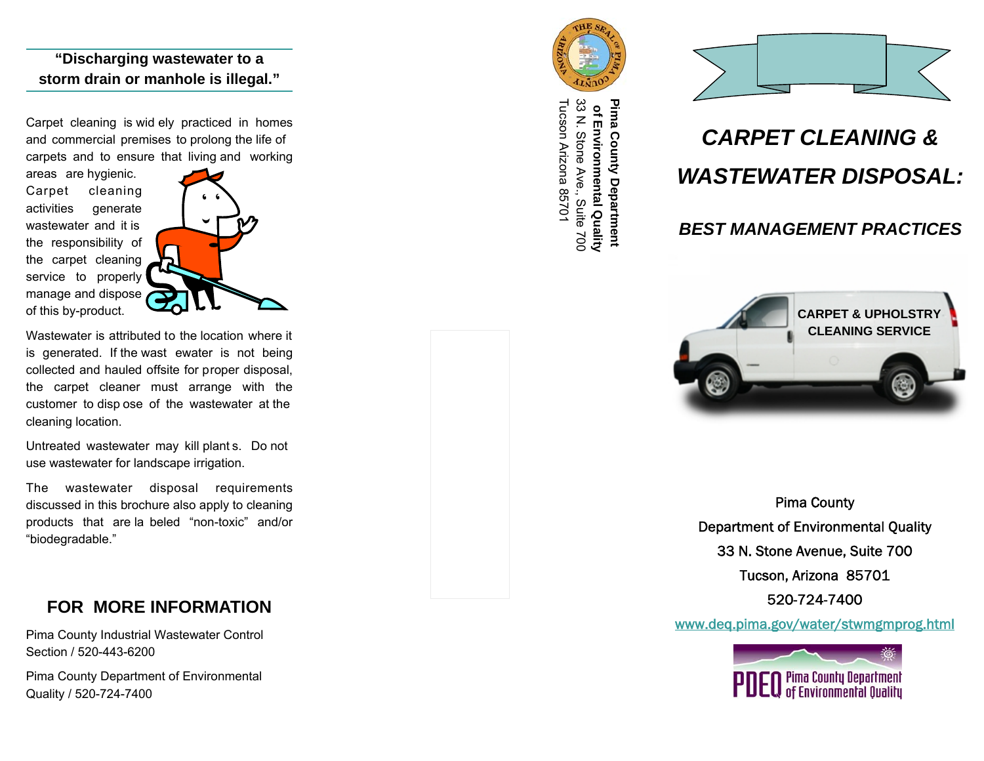## **"Discharging wastewater to a storm drain or manhole is illegal."**

Carpet cleaning is wid ely practiced in homes and commercial premises to prolong the life of carpets and to ensure that living and working

areas are hygienic. Carpet cleaning activities generate wastewater and it is the responsibility of the carpet cleaning service to properly manage and dispose of this by-product.



Wastewater is attributed to the location where it is generated. If the wast ewater is not being collected and hauled offsite for proper disposal, the carpet cleaner must arrange with the customer to disp ose of the wastewater at the cleaning location.

Untreated wastewater may kill plant s. Do not use wastewater for landscape irrigation.

The wastewater disposal requirements discussed in this brochure also apply to cleaning products that are la beled "non-toxic" and/or "biodegradable."

# **FOR MORE INFORMATION**

Pima County Industrial Wastewater Control Section / 520-443-6200

Pima County Department of Environmental Quality / 520-724-7400



Tucson Arizona 85701 33 N. Stone Ave., Suite 700 33 N. Stone Ave., Suite 700  **of Environmental Quality Pima County Department**  Tucson Arizona 85701 Pima County Department of Environmental Quality



# *CARPET CLEANING & WASTEWATER DISPOSAL:*

## *BEST MANAGEMENT PRACTICES*



Pima County Department of Environmental Quality 33 N. Stone Avenue, Suite 700 Tucson, Arizona 85701 520-724-7400

www.deq.pima.gov/water/stwmgmprog.html